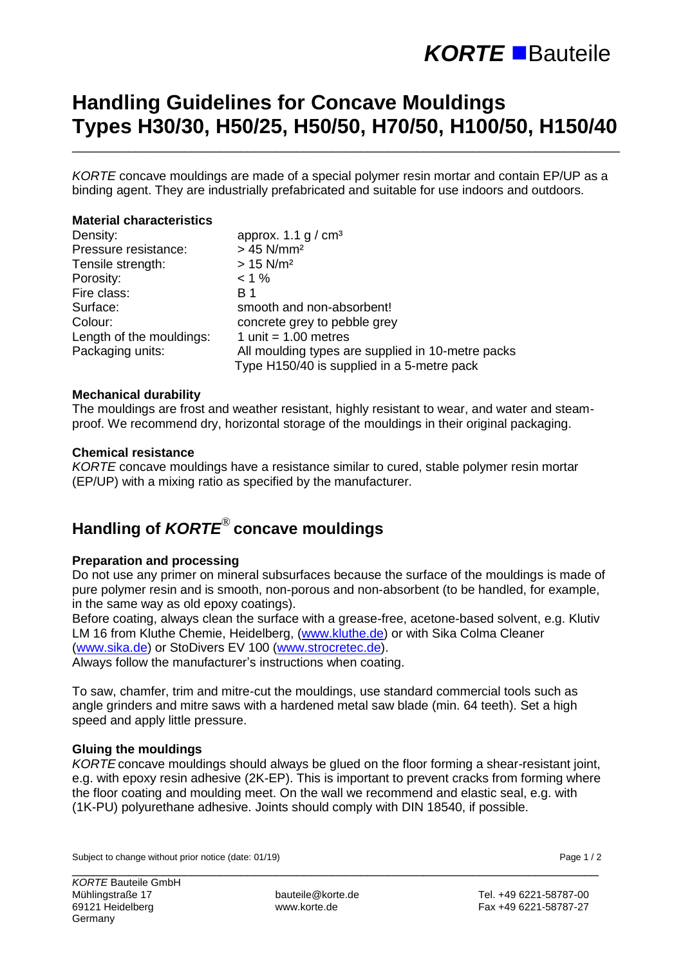# **KORTE** ■ Bauteile

## **Handling Guidelines for Concave Mouldings Types H30/30, H50/25, H50/50, H70/50, H100/50, H150/40**

\_\_\_\_\_\_\_\_\_\_\_\_\_\_\_\_\_\_\_\_\_\_\_\_\_\_\_\_\_\_\_\_\_\_\_\_\_\_\_\_\_\_\_\_\_\_\_\_\_\_\_\_\_\_\_\_\_\_\_\_\_\_\_\_\_\_\_\_\_\_\_\_\_\_\_\_\_\_

*KORTE* concave mouldings are made of a special polymer resin mortar and contain EP/UP as a binding agent. They are industrially prefabricated and suitable for use indoors and outdoors.

#### **Material characteristics**

| Density:                 | approx. 1.1 g / $cm3$                             |  |  |
|--------------------------|---------------------------------------------------|--|--|
| Pressure resistance:     | $> 45$ N/mm <sup>2</sup>                          |  |  |
| Tensile strength:        | $> 15$ N/m <sup>2</sup>                           |  |  |
| Porosity:                | $< 1 \%$                                          |  |  |
| Fire class:              | B 1                                               |  |  |
| Surface:                 | smooth and non-absorbent!                         |  |  |
| Colour:                  | concrete grey to pebble grey                      |  |  |
| Length of the mouldings: | 1 unit = $1.00$ metres                            |  |  |
| Packaging units:         | All moulding types are supplied in 10-metre packs |  |  |
|                          | Type H150/40 is supplied in a 5-metre pack        |  |  |

#### **Mechanical durability**

The mouldings are frost and weather resistant, highly resistant to wear, and water and steamproof. We recommend dry, horizontal storage of the mouldings in their original packaging.

#### **Chemical resistance**

*KORTE* concave mouldings have a resistance similar to cured, stable polymer resin mortar (EP/UP) with a mixing ratio as specified by the manufacturer.

## **Handling of** *KORTE*® **concave mouldings**

### **Preparation and processing**

Do not use any primer on mineral subsurfaces because the surface of the mouldings is made of pure polymer resin and is smooth, non-porous and non-absorbent (to be handled, for example, in the same way as old epoxy coatings).

Before coating, always clean the surface with a grease-free, acetone-based solvent, e.g. Klutiv LM 16 from Kluthe Chemie, Heidelberg, [\(www.kluthe.de\)](http://www.kluthe.de/) or with Sika Colma Cleaner [\(www.sika.de\)](http://www.sika.de/) or StoDivers EV 100 [\(www.strocretec.de\)](http://www.strocretec.de/).

Always follow the manufacturer's instructions when coating.

To saw, chamfer, trim and mitre-cut the mouldings, use standard commercial tools such as angle grinders and mitre saws with a hardened metal saw blade (min. 64 teeth). Set a high speed and apply little pressure.

### **Gluing the mouldings**

*KORTE* concave mouldings should always be glued on the floor forming a shear-resistant joint, e.g. with epoxy resin adhesive (2K-EP). This is important to prevent cracks from forming where the floor coating and moulding meet. On the wall we recommend and elastic seal, e.g. with (1K-PU) polyurethane adhesive. Joints should comply with DIN 18540, if possible.

Subject to change without prior notice (date: 01/19) **Page 1** / 2